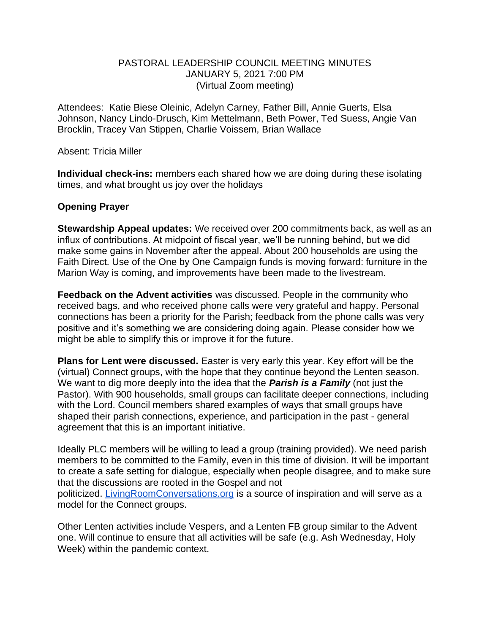## PASTORAL LEADERSHIP COUNCIL MEETING MINUTES JANUARY 5, 2021 7:00 PM (Virtual Zoom meeting)

Attendees: Katie Biese Oleinic, Adelyn Carney, Father Bill, Annie Guerts, Elsa Johnson, Nancy Lindo-Drusch, Kim Mettelmann, Beth Power, Ted Suess, Angie Van Brocklin, Tracey Van Stippen, Charlie Voissem, Brian Wallace

Absent: Tricia Miller

**Individual check-ins:** members each shared how we are doing during these isolating times, and what brought us joy over the holidays

## **Opening Prayer**

**Stewardship Appeal updates:** We received over 200 commitments back, as well as an influx of contributions. At midpoint of fiscal year, we'll be running behind, but we did make some gains in November after the appeal. About 200 households are using the Faith Direct. Use of the One by One Campaign funds is moving forward: furniture in the Marion Way is coming, and improvements have been made to the livestream.

**Feedback on the Advent activities** was discussed. People in the community who received bags, and who received phone calls were very grateful and happy. Personal connections has been a priority for the Parish; feedback from the phone calls was very positive and it's something we are considering doing again. Please consider how we might be able to simplify this or improve it for the future.

**Plans for Lent were discussed.** Easter is very early this year. Key effort will be the (virtual) Connect groups, with the hope that they continue beyond the Lenten season. We want to dig more deeply into the idea that the *Parish is a Family* (not just the Pastor). With 900 households, small groups can facilitate deeper connections, including with the Lord. Council members shared examples of ways that small groups have shaped their parish connections, experience, and participation in the past - general agreement that this is an important initiative.

Ideally PLC members will be willing to lead a group (training provided). We need parish members to be committed to the Family, even in this time of division. It will be important to create a safe setting for dialogue, especially when people disagree, and to make sure that the discussions are rooted in the Gospel and not politicized. [LivingRoomConversations.org](https://livingroomconversations.org/) is a source of inspiration and will serve as a model for the Connect groups.

Other Lenten activities include Vespers, and a Lenten FB group similar to the Advent one. Will continue to ensure that all activities will be safe (e.g. Ash Wednesday, Holy Week) within the pandemic context.